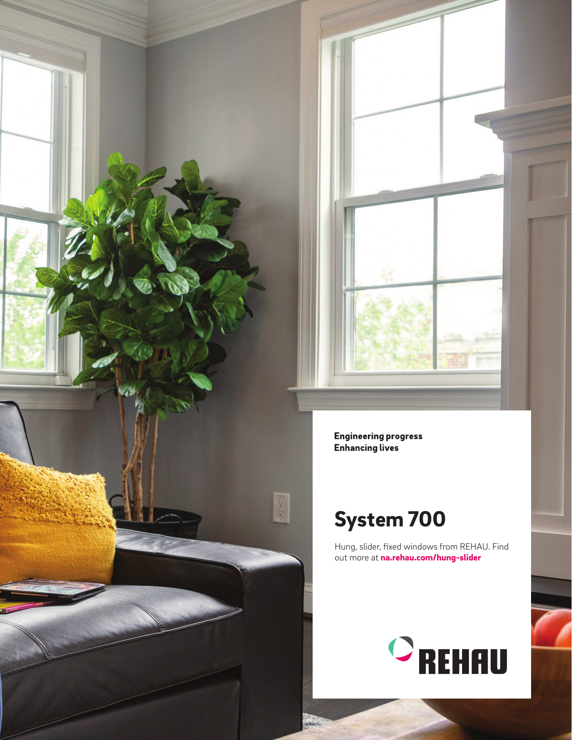



**Engineering progress Enhancing lives** 

## System 700

Hung, slider, fixed windows from REHAU. Find out more at na.rehau.com/hung-slider